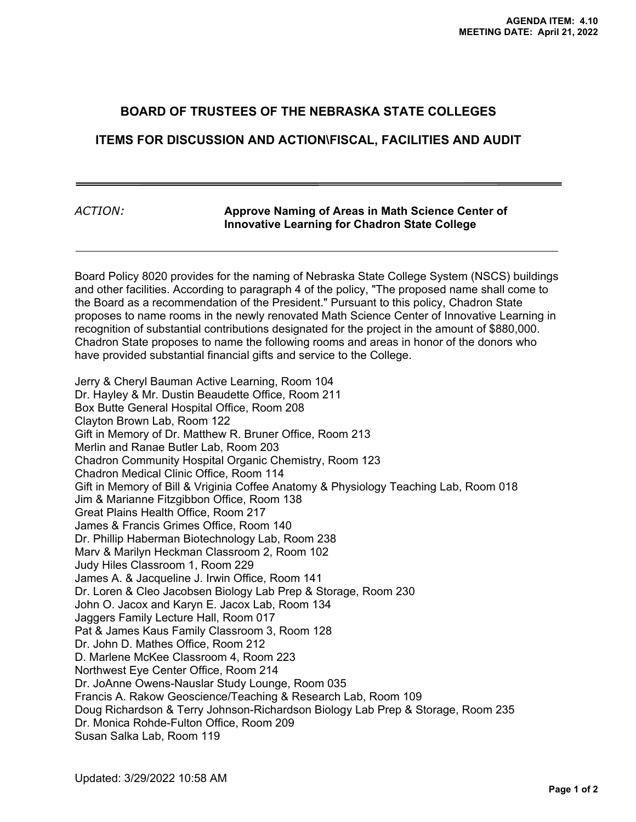## **BOARD OF TRUSTEES OF THE NEBRASKA STATE COLLEGES**

## **ITEMS FOR DISCUSSION AND ACTION\FISCAL, FACILITIES AND AUDIT**

## *ACTION:* **Approve Naming of Areas in Math Science Center of Innovative Learning for Chadron State College**

Board Policy 8020 provides for the naming of Nebraska State College System (NSCS) buildings and other facilities. According to paragraph 4 of the policy, "The proposed name shall come to the Board as a recommendation of the President." Pursuant to this policy, Chadron State proposes to name rooms in the newly renovated Math Science Center of Innovative Learning in recognition of substantial contributions designated for the project in the amount of \$880,000. Chadron State proposes to name the following rooms and areas in honor of the donors who have provided substantial financial gifts and service to the College.

Jerry & Cheryl Bauman Active Learning, Room 104 Dr. Hayley & Mr. Dustin Beaudette Office, Room 211 Box Butte General Hospital Office, Room 208 Clayton Brown Lab, Room 122 Gift in Memory of Dr. Matthew R. Bruner Office, Room 213 Merlin and Ranae Butler Lab, Room 203 Chadron Community Hospital Organic Chemistry, Room 123 Chadron Medical Clinic Office, Room 114 Gift in Memory of Bill & Vriginia Coffee Anatomy & Physiology Teaching Lab, Room 018 Jim & Marianne Fitzgibbon Office, Room 138 Great Plains Health Office, Room 217 James & Francis Grimes Office, Room 140 Dr. Phillip Haberman Biotechnology Lab, Room 238 Marv & Marilyn Heckman Classroom 2, Room 102 Judy Hiles Classroom 1, Room 229 James A. & Jacqueline J. Irwin Office, Room 141 Dr. Loren & Cleo Jacobsen Biology Lab Prep & Storage, Room 230 John O. Jacox and Karyn E. Jacox Lab, Room 134 Jaggers Family Lecture Hall, Room 017 Pat & James Kaus Family Classroom 3, Room 128 Dr. John D. Mathes Office, Room 212 D. Marlene McKee Classroom 4, Room 223 Northwest Eye Center Office, Room 214 Dr. JoAnne Owens-Nauslar Study Lounge, Room 035 Francis A. Rakow Geoscience/Teaching & Research Lab, Room 109 Doug Richardson & Terry Johnson-Richardson Biology Lab Prep & Storage, Room 235 Dr. Monica Rohde-Fulton Office, Room 209 Susan Salka Lab, Room 119